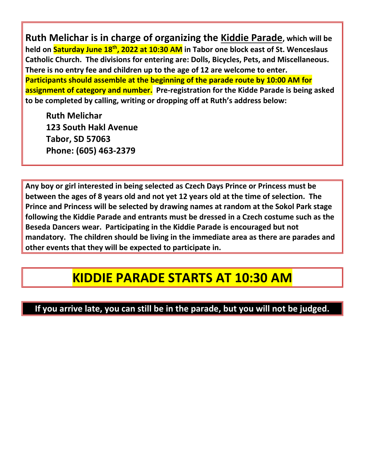**Ruth Melichar is in charge of organizing the Kiddie Parade, which will be held on Saturday June 18th, 2022 at 10:30 AM in Tabor one block east of St. Wenceslaus Catholic Church. The divisions for entering are: Dolls, Bicycles, Pets, and Miscellaneous. There is no entry fee and children up to the age of 12 are welcome to enter. Participants should assemble at the beginning of the parade route by 10:00 AM for assignment of category and number. Pre-registration for the Kidde Parade is being asked to be completed by calling, writing or dropping off at Ruth's address below:**

**Ruth Melichar 123 South Hakl Avenue Tabor, SD 57063 Phone: (605) 463-2379**

**Any boy or girl interested in being selected as Czech Days Prince or Princess must be between the ages of 8 years old and not yet 12 years old at the time of selection. The Prince and Princess will be selected by drawing names at random at the Sokol Park stage following the Kiddie Parade and entrants must be dressed in a Czech costume such as the Beseda Dancers wear. Participating in the Kiddie Parade is encouraged but not mandatory. The children should be living in the immediate area as there are parades and other events that they will be expected to participate in.**

## **KIDDIE PARADE STARTS AT 10:30 AM**

## **If you arrive late, you can still be in the parade, but you will not be judged.**